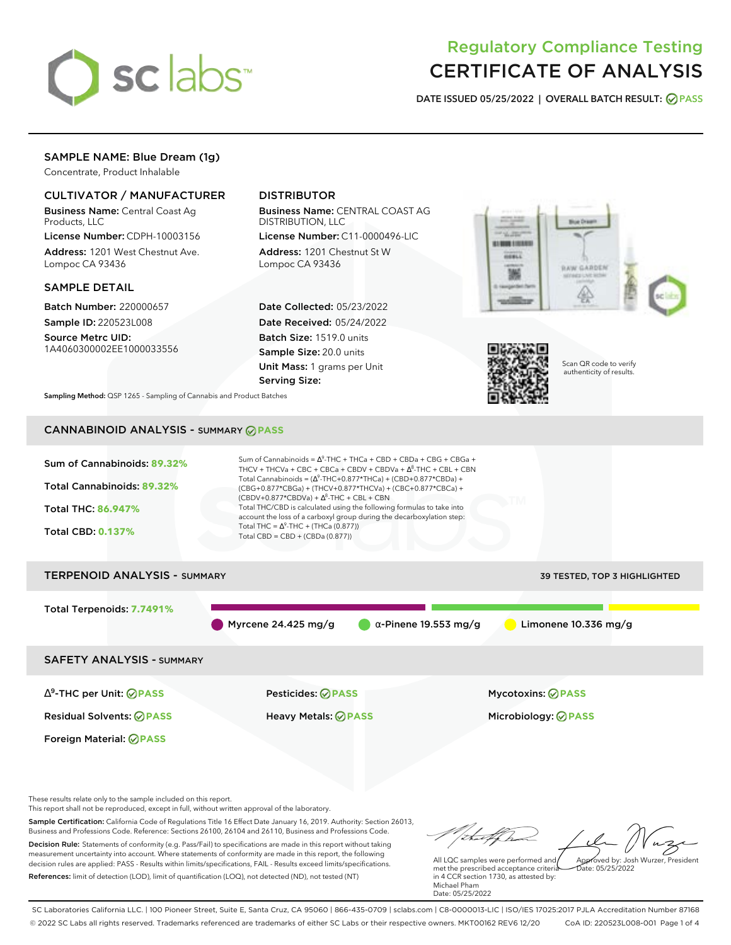

# Regulatory Compliance Testing CERTIFICATE OF ANALYSIS

**DATE ISSUED 05/25/2022 | OVERALL BATCH RESULT: PASS**

# SAMPLE NAME: Blue Dream (1g)

Concentrate, Product Inhalable

### CULTIVATOR / MANUFACTURER

Business Name: Central Coast Ag Products, LLC

License Number: CDPH-10003156 Address: 1201 West Chestnut Ave. Lompoc CA 93436

### SAMPLE DETAIL

Batch Number: 220000657 Sample ID: 220523L008

Source Metrc UID: 1A4060300002EE1000033556

# DISTRIBUTOR

Business Name: CENTRAL COAST AG DISTRIBUTION, LLC

License Number: C11-0000496-LIC Address: 1201 Chestnut St W Lompoc CA 93436

Date Collected: 05/23/2022 Date Received: 05/24/2022 Batch Size: 1519.0 units Sample Size: 20.0 units Unit Mass: 1 grams per Unit Serving Size:





Scan QR code to verify authenticity of results.

**Sampling Method:** QSP 1265 - Sampling of Cannabis and Product Batches

# CANNABINOID ANALYSIS - SUMMARY **PASS**

| Sum of Cannabinoids: 89.32%<br>Total Cannabinoids: 89.32%<br><b>Total THC: 86.947%</b><br><b>Total CBD: 0.137%</b>                                                | Sum of Cannabinoids = $\Delta^9$ -THC + THCa + CBD + CBDa + CBG + CBGa +<br>THCV + THCVa + CBC + CBCa + CBDV + CBDVa + $\Delta^8$ -THC + CBL + CBN<br>Total Cannabinoids = $(\Delta^9$ -THC+0.877*THCa) + (CBD+0.877*CBDa) +<br>(CBG+0.877*CBGa) + (THCV+0.877*THCVa) + (CBC+0.877*CBCa) +<br>$(CBDV+0.877*CBDVa) + \Delta^8$ -THC + CBL + CBN<br>Total THC/CBD is calculated using the following formulas to take into<br>account the loss of a carboxyl group during the decarboxylation step:<br>Total THC = $\Delta^9$ -THC + (THCa (0.877))<br>Total CBD = CBD + (CBDa (0.877)) |                              |
|-------------------------------------------------------------------------------------------------------------------------------------------------------------------|--------------------------------------------------------------------------------------------------------------------------------------------------------------------------------------------------------------------------------------------------------------------------------------------------------------------------------------------------------------------------------------------------------------------------------------------------------------------------------------------------------------------------------------------------------------------------------------|------------------------------|
| <b>TERPENOID ANALYSIS - SUMMARY</b>                                                                                                                               |                                                                                                                                                                                                                                                                                                                                                                                                                                                                                                                                                                                      | 39 TESTED, TOP 3 HIGHLIGHTED |
| Total Terpenoids: 7.7491%                                                                                                                                         | Myrcene 24.425 mg/g<br>$\alpha$ -Pinene 19.553 mg/g                                                                                                                                                                                                                                                                                                                                                                                                                                                                                                                                  | Limonene 10.336 mg/g         |
| <b>SAFETY ANALYSIS - SUMMARY</b>                                                                                                                                  |                                                                                                                                                                                                                                                                                                                                                                                                                                                                                                                                                                                      |                              |
| $\Delta^9$ -THC per Unit: $\bigcirc$ PASS                                                                                                                         | <b>Pesticides: ⊘ PASS</b>                                                                                                                                                                                                                                                                                                                                                                                                                                                                                                                                                            | <b>Mycotoxins: ⊘PASS</b>     |
| <b>Residual Solvents: ⊘PASS</b>                                                                                                                                   | <b>Heavy Metals: ⊘ PASS</b>                                                                                                                                                                                                                                                                                                                                                                                                                                                                                                                                                          | Microbiology: <b>⊘PASS</b>   |
| Foreign Material: <b>⊘ PASS</b>                                                                                                                                   |                                                                                                                                                                                                                                                                                                                                                                                                                                                                                                                                                                                      |                              |
| These results relate only to the sample included on this report.<br>This report shall not be reproduced except in full without written approval of the laboratory |                                                                                                                                                                                                                                                                                                                                                                                                                                                                                                                                                                                      |                              |

This report shall not be reproduced, except in full, without written approval of the laboratory.

Sample Certification: California Code of Regulations Title 16 Effect Date January 16, 2019. Authority: Section 26013, Business and Professions Code. Reference: Sections 26100, 26104 and 26110, Business and Professions Code. Decision Rule: Statements of conformity (e.g. Pass/Fail) to specifications are made in this report without taking measurement uncertainty into account. Where statements of conformity are made in this report, the following decision rules are applied: PASS - Results within limits/specifications, FAIL - Results exceed limits/specifications.

References: limit of detection (LOD), limit of quantification (LOQ), not detected (ND), not tested (NT)

that for Approved by: Josh Wurzer, President

Date: 05/25/2022

All LQC samples were performed and met the prescribed acceptance criteria in 4 CCR section 1730, as attested by: Michael Pham Date: 05/25/2022

SC Laboratories California LLC. | 100 Pioneer Street, Suite E, Santa Cruz, CA 95060 | 866-435-0709 | sclabs.com | C8-0000013-LIC | ISO/IES 17025:2017 PJLA Accreditation Number 87168 © 2022 SC Labs all rights reserved. Trademarks referenced are trademarks of either SC Labs or their respective owners. MKT00162 REV6 12/20 CoA ID: 220523L008-001 Page 1 of 4